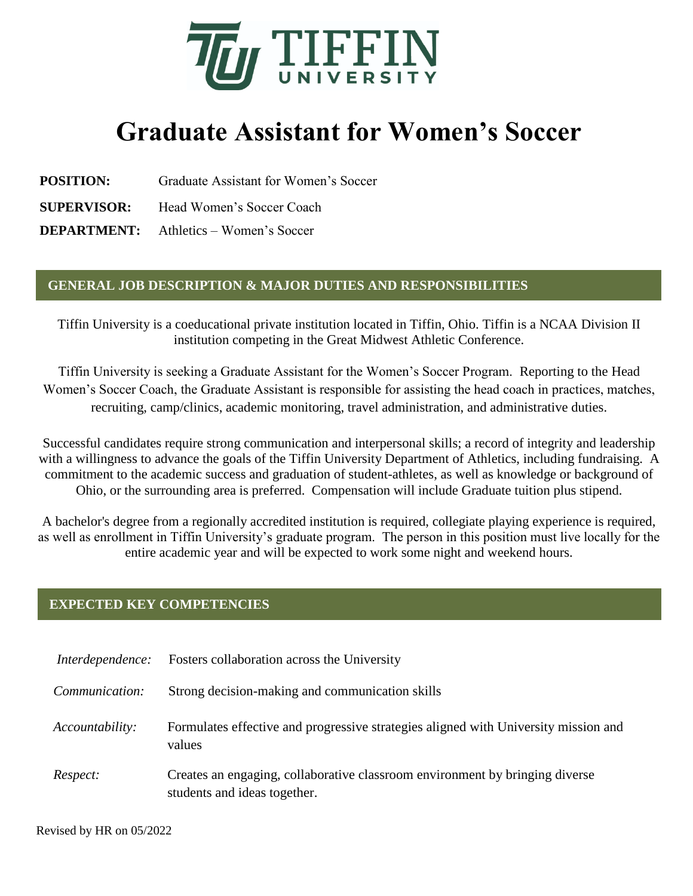

## **Graduate Assistant for Women's Soccer**

**POSITION:** Graduate Assistant for Women's Soccer

**SUPERVISOR:** Head Women's Soccer Coach

**DEPARTMENT:** Athletics – Women's Soccer

## **GENERAL JOB DESCRIPTION & MAJOR DUTIES AND RESPONSIBILITIES**

Tiffin University is a coeducational private institution located in Tiffin, Ohio. Tiffin is a NCAA Division II institution competing in the Great Midwest Athletic Conference.

Tiffin University is seeking a Graduate Assistant for the Women's Soccer Program. Reporting to the Head Women's Soccer Coach, the Graduate Assistant is responsible for assisting the head coach in practices, matches, recruiting, camp/clinics, academic monitoring, travel administration, and administrative duties.

Successful candidates require strong communication and interpersonal skills; a record of integrity and leadership with a willingness to advance the goals of the Tiffin University Department of Athletics, including fundraising. A commitment to the academic success and graduation of student-athletes, as well as knowledge or background of Ohio, or the surrounding area is preferred. Compensation will include Graduate tuition plus stipend.

A bachelor's degree from a regionally accredited institution is required, collegiate playing experience is required, as well as enrollment in Tiffin University's graduate program. The person in this position must live locally for the entire academic year and will be expected to work some night and weekend hours.

## **EXPECTED KEY COMPETENCIES**

| Interdependence: | Fosters collaboration across the University                                                                  |
|------------------|--------------------------------------------------------------------------------------------------------------|
| Communication:   | Strong decision-making and communication skills                                                              |
| Accountability:  | Formulates effective and progressive strategies aligned with University mission and<br>values                |
| Respect:         | Creates an engaging, collaborative classroom environment by bringing diverse<br>students and ideas together. |